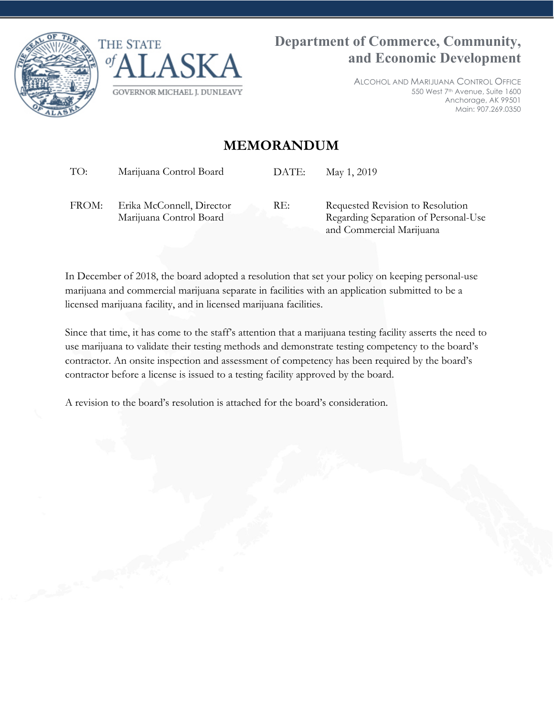



ALCOHOL AND MARIJUANA CONTROL OFFICE 550 West 7<sup>th</sup> Avenue, Suite 1600 Anchorage, AK 99501 Main: 907.269.0350

## **MEMORANDUM**

TO: Marijuana Control Board DATE: May 1, 2019

FROM: Erika McConnell, Director Marijuana Control Board

RE: Requested Revision to Resolution Regarding Separation of Personal-Use and Commercial Marijuana

In December of 2018, the board adopted a resolution that set your policy on keeping personal-use marijuana and commercial marijuana separate in facilities with an application submitted to be a licensed marijuana facility, and in licensed marijuana facilities.

Since that time, it has come to the staff's attention that a marijuana testing facility asserts the need to use marijuana to validate their testing methods and demonstrate testing competency to the board's contractor. An onsite inspection and assessment of competency has been required by the board's contractor before a license is issued to a testing facility approved by the board.

A revision to the board's resolution is attached for the board's consideration.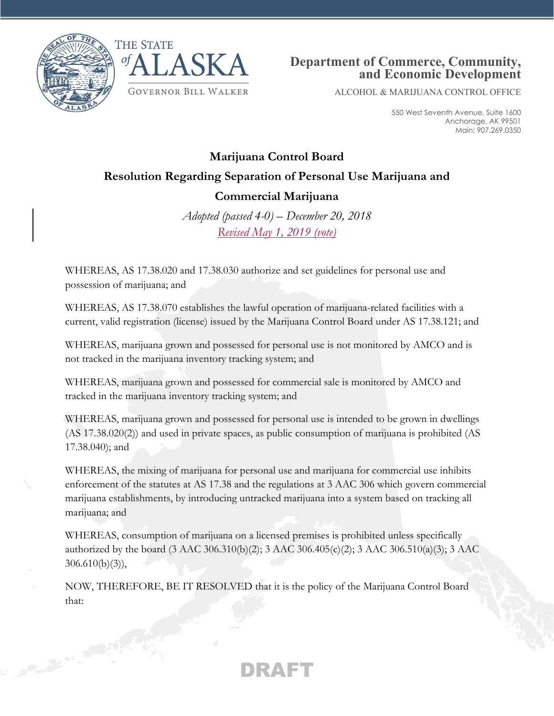

Country of Castle



## **Department of Commerce, Community, and Economic Development**

ALCOHOL & MARIJUANA CONTROL OFFICE

550 West Seventh Avenue, Suite 1600 Anchorage, AK 99501 Main: 907.269.0350

## **Marijuana Control Board Resolution Regarding Separation of Personal Use Marijuana and Commercial Marijuana**

*Adopted (passed 4-0) – December 20, 2018 Revised May 1, 2019 (vote)*

WHEREAS, AS 17.38.020 and 17.38.030 authorize and set guidelines for personal use and possession of marijuana; and

WHEREAS, AS 17.38.070 establishes the lawful operation of marijuana-related facilities with a current, valid registration (license) issued by the Marijuana Control Board under AS 17.38.121; and

WHEREAS, marijuana grown and possessed for personal use is not monitored by AMCO and is not tracked in the marijuana inventory tracking system; and

WHEREAS, marijuana grown and possessed for commercial sale is monitored by AMCO and tracked in the marijuana inventory tracking system; and

WHEREAS, marijuana grown and possessed for personal use is intended to be grown in dwellings (AS 17.38.020(2)) and used in private spaces, as public consumption of marijuana is prohibited (AS 17.38.040); and

WHEREAS, the mixing of marijuana for personal use and marijuana for commercial use inhibits enforcement of the statutes at AS 17.38 and the regulations at 3 AAC 306 which govern commercial marijuana establishments, by introducing untracked marijuana into a system based on tracking all marijuana; and

WHEREAS, consumption of marijuana on a licensed premises is prohibited unless specifically authorized by the board (3 AAC 306.310(b)(2); 3 AAC 306.405(c)(2); 3 AAC 306.510(a)(3); 3 AAC 306.610(b)(3)),

NOW, THEREFORE, BE IT RESOLVED that it is the policy of the Marijuana Control Board that:

DRAFT